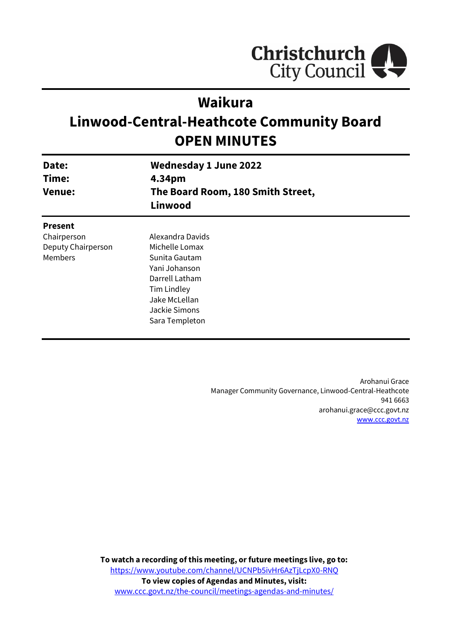

# **Waikura**

# **Linwood-Central-Heathcote Community Board OPEN MINUTES**

| Date:<br>Time:<br><b>Venue:</b> | <b>Wednesday 1 June 2022</b><br>4.34pm<br>The Board Room, 180 Smith Street,<br>Linwood |
|---------------------------------|----------------------------------------------------------------------------------------|
| <b>Present</b>                  |                                                                                        |
| Chairperson                     | Alexandra Davids                                                                       |
| Deputy Chairperson              | Michelle Lomax                                                                         |
| Members                         | Sunita Gautam                                                                          |
|                                 | Yani Johanson                                                                          |
|                                 | Darrell Latham                                                                         |
|                                 | Tim Lindley                                                                            |
|                                 | Jake McLellan                                                                          |
|                                 | Jackie Simons                                                                          |
|                                 | Sara Templeton                                                                         |

Arohanui Grace Manager Community Governance, Linwood-Central-Heathcote 941 6663 arohanui.grace@ccc.govt.nz [www.ccc.govt.nz](http://www.ccc.govt.nz/)

**To watch a recording of this meeting, or future meetings live, go to:** [https://www.youtube.com/channel/UCNPb5ivHr6AzTjLcpX0-RNQ](https://aus01.safelinks.protection.outlook.com/?url=https%3A%2F%2Fwww.youtube.com%2Fchannel%2FUCNPb5ivHr6AzTjLcpX0-RNQ&data=05%7C01%7CMatthew.Boult%40ccc.govt.nz%7C5a1a543348e149173c2608da3df8ac16%7C45c97e4ebd8d4ddcbd6e2d62daa2a011%7C0%7C0%7C637890435492430387%7CUnknown%7CTWFpbGZsb3d8eyJWIjoiMC4wLjAwMDAiLCJQIjoiV2luMzIiLCJBTiI6Ik1haWwiLCJXVCI6Mn0%3D%7C3000%7C%7C%7C&sdata=%2BS4hHq5TQdCL73slJcZMWkz2p8291uLCleMPVMmRank%3D&reserved=0) **To view copies of Agendas and Minutes, visit:** [www.ccc.govt.nz/the-council/meetings-agendas-and-minutes/](https://www.ccc.govt.nz/the-council/meetings-agendas-and-minutes/)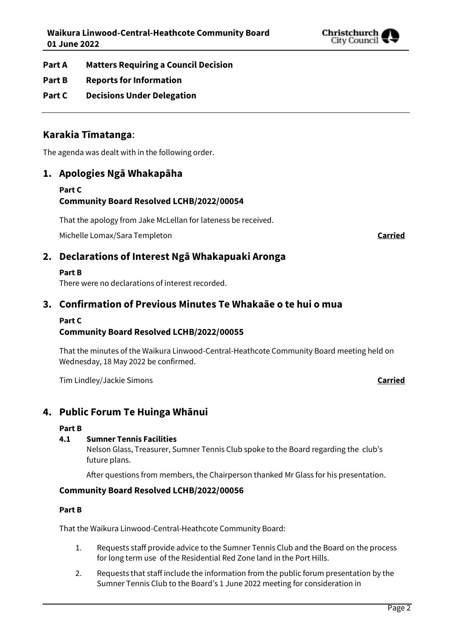

- **Part A Matters Requiring a Council Decision**
- **Part B Reports for Information**
- **Part C Decisions Under Delegation**

# **Karakia Tīmatanga**:

The agenda was dealt with in the following order.

# **1. Apologies Ngā Whakapāha**

#### **Part C Community Board Resolved LCHB/2022/00054**

That the apology from Jake McLellan for lateness be received.

Michelle Lomax/Sara Templeton **Carried**

# **2. Declarations of Interest Ngā Whakapuaki Aronga**

#### **Part B**

There were no declarations of interest recorded.

# **3. Confirmation of Previous Minutes Te Whakaāe o te hui o mua**

#### **Part C**

# **Community Board Resolved LCHB/2022/00055**

That the minutes of the Waikura Linwood-Central-Heathcote Community Board meeting held on Wednesday, 18 May 2022 be confirmed.

Tim Lindley/Jackie Simons **Carried**

# **4. Public Forum Te Huinga Whānui**

#### **Part B**

#### **4.1 Sumner Tennis Facilities**

Nelson Glass, Treasurer, Sumner Tennis Club spoke to the Board regarding the club's future plans.

After questions from members, the Chairperson thanked Mr Glass for his presentation.

### **Community Board Resolved LCHB/2022/00056**

#### **Part B**

That the Waikura Linwood-Central-Heathcote Community Board:

- 1. Requests staff provide advice to the Sumner Tennis Club and the Board on the process for long term use of the Residential Red Zone land in the Port Hills.
- 2. Requests that staff include the information from the public forum presentation by the Sumner Tennis Club to the Board's 1 June 2022 meeting for consideration in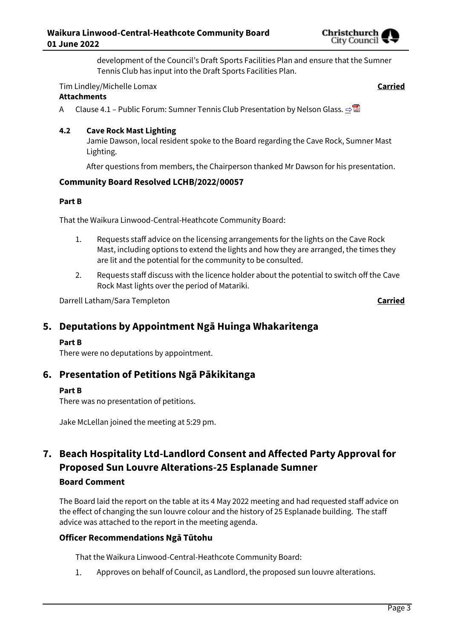

development of the Council's Draft Sports Facilities Plan and ensure that the Sumner Tennis Club has input into the Draft Sports Facilities Plan.

#### Tim Lindley/Michelle Lomax **Carried**

#### **Attachments**

A Clause 4.1 – Public Forum: Sumner Tennis Club Presentation by Nelson Glass.  $\Rightarrow$ 

#### **4.2 Cave Rock Mast Lighting**

Jamie Dawson, local resident spoke to the Board regarding the Cave Rock, Sumner Mast Lighting.

After questions from members, the Chairperson thanked Mr Dawson for his presentation.

#### **Community Board Resolved LCHB/2022/00057**

#### **Part B**

That the Waikura Linwood-Central-Heathcote Community Board:

- 1. Requests staff advice on the licensing arrangements for the lights on the Cave Rock Mast, including options to extend the lights and how they are arranged, the times they are lit and the potential for the community to be consulted.
- 2. Requests staff discuss with the licence holder about the potential to switch off the Cave Rock Mast lights over the period of Matariki.

Darrell Latham/Sara Templeton **Carried**

# **5. Deputations by Appointment Ngā Huinga Whakaritenga**

#### **Part B**

There were no deputations by appointment.

### **6. Presentation of Petitions Ngā Pākikitanga**

#### **Part B**

There was no presentation of petitions.

Jake McLellan joined the meeting at 5:29 pm.

# **7. Beach Hospitality Ltd-Landlord Consent and Affected Party Approval for Proposed Sun Louvre Alterations-25 Esplanade Sumner Board Comment**

The Board laid the report on the table at its 4 May 2022 meeting and had requested staff advice on the effect of changing the sun louvre colour and the history of 25 Esplanade building. The staff advice was attached to the report in the meeting agenda.

### **Officer Recommendations Ngā Tūtohu**

That the Waikura Linwood-Central-Heathcote Community Board:

 $1.$ Approves on behalf of Council, as Landlord, the proposed sun louvre alterations.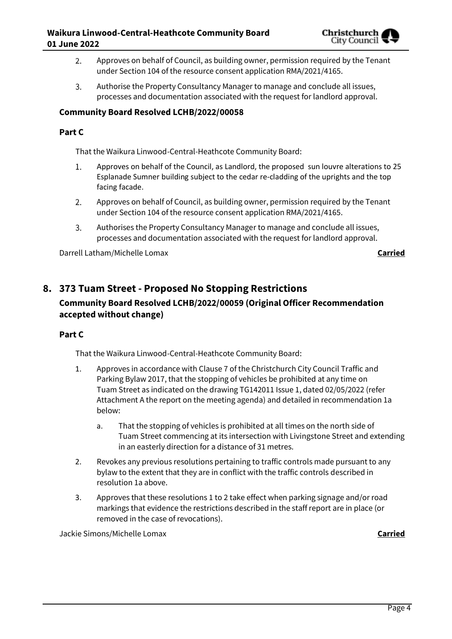

- Approves on behalf of Council, as building owner, permission required by the Tenant  $2.$ under Section 104 of the resource consent application RMA/2021/4165.
- 3. Authorise the Property Consultancy Manager to manage and conclude all issues, processes and documentation associated with the request for landlord approval.

#### **Community Board Resolved LCHB/2022/00058**

#### **Part C**

That the Waikura Linwood-Central-Heathcote Community Board:

- Approves on behalf of the Council, as Landlord, the proposed sun louvre alterations to 25 1. Esplanade Sumner building subject to the cedar re-cladding of the uprights and the top facing facade.
- 2. Approves on behalf of Council, as building owner, permission required by the Tenant under Section 104 of the resource consent application RMA/2021/4165.
- 3. Authorises the Property Consultancy Manager to manage and conclude all issues, processes and documentation associated with the request for landlord approval.

Darrell Latham/Michelle Lomax **Carried**

# **8. 373 Tuam Street - Proposed No Stopping Restrictions**

## **Community Board Resolved LCHB/2022/00059 (Original Officer Recommendation accepted without change)**

#### **Part C**

That the Waikura Linwood-Central-Heathcote Community Board:

- 1. Approves in accordance with Clause 7 of the Christchurch City Council Traffic and Parking Bylaw 2017, that the stopping of vehicles be prohibited at any time on Tuam Street as indicated on the drawing TG142011 Issue 1, dated 02/05/2022 (refer Attachment A the report on the meeting agenda) and detailed in recommendation 1a below:
	- a. That the stopping of vehicles is prohibited at all times on the north side of Tuam Street commencing at its intersection with Livingstone Street and extending in an easterly direction for a distance of 31 metres.
- 2. Revokes any previous resolutions pertaining to traffic controls made pursuant to any bylaw to the extent that they are in conflict with the traffic controls described in resolution 1a above.
- 3. Approves that these resolutions 1 to 2 take effect when parking signage and/or road markings that evidence the restrictions described in the staff report are in place (or removed in the case of revocations).

Jackie Simons/Michelle Lomax **Carried**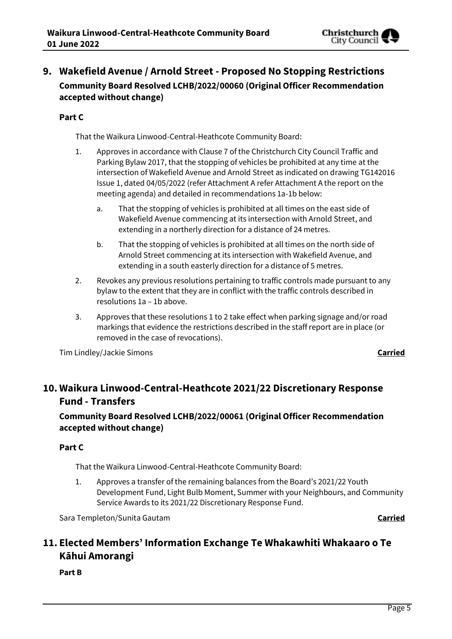

# **9. Wakefield Avenue / Arnold Street - Proposed No Stopping Restrictions Community Board Resolved LCHB/2022/00060 (Original Officer Recommendation accepted without change)**

#### **Part C**

That the Waikura Linwood-Central-Heathcote Community Board:

- 1. Approves in accordance with Clause 7 of the Christchurch City Council Traffic and Parking Bylaw 2017, that the stopping of vehicles be prohibited at any time at the intersection of Wakefield Avenue and Arnold Street as indicated on drawing TG142016 Issue 1, dated 04/05/2022 (refer Attachment A refer Attachment A the report on the meeting agenda) and detailed in recommendations 1a-1b below:
	- a. That the stopping of vehicles is prohibited at all times on the east side of Wakefield Avenue commencing at its intersection with Arnold Street, and extending in a northerly direction for a distance of 24 metres.
	- b. That the stopping of vehicles is prohibited at all times on the north side of Arnold Street commencing at its intersection with Wakefield Avenue, and extending in a south easterly direction for a distance of 5 metres.
- 2. Revokes any previous resolutions pertaining to traffic controls made pursuant to any bylaw to the extent that they are in conflict with the traffic controls described in resolutions 1a – 1b above.
- 3. Approves that these resolutions 1 to 2 take effect when parking signage and/or road markings that evidence the restrictions described in the staff report are in place (or removed in the case of revocations).

Tim Lindley/Jackie Simons **Carried**

# **10. Waikura Linwood-Central-Heathcote 2021/22 Discretionary Response Fund - Transfers**

# **Community Board Resolved LCHB/2022/00061 (Original Officer Recommendation accepted without change)**

### **Part C**

That the Waikura Linwood-Central-Heathcote Community Board:

1. Approves a transfer of the remaining balances from the Board's 2021/22 Youth Development Fund, Light Bulb Moment, Summer with your Neighbours, and Community Service Awards to its 2021/22 Discretionary Response Fund.

Sara Templeton/Sunita Gautam **Carried**

# **11. Elected Members' Information Exchange Te Whakawhiti Whakaaro o Te Kāhui Amorangi**

**Part B**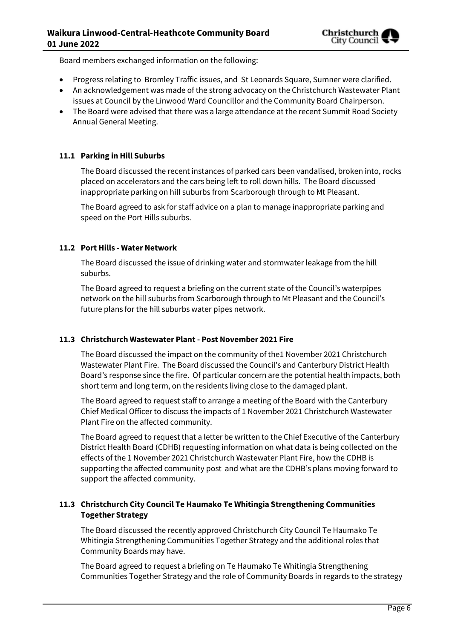Board members exchanged information on the following:

- Progress relating to Bromley Traffic issues, and St Leonards Square, Sumner were clarified.
- An acknowledgement was made of the strong advocacy on the Christchurch Wastewater Plant issues at Council by the Linwood Ward Councillor and the Community Board Chairperson.
- The Board were advised that there was a large attendance at the recent Summit Road Society Annual General Meeting.

#### **11.1 Parking in Hill Suburbs**

The Board discussed the recent instances of parked cars been vandalised, broken into, rocks placed on accelerators and the cars being left to roll down hills. The Board discussed inappropriate parking on hill suburbs from Scarborough through to Mt Pleasant.

The Board agreed to ask for staff advice on a plan to manage inappropriate parking and speed on the Port Hills suburbs.

#### **11.2 Port Hills - Water Network**

The Board discussed the issue of drinking water and stormwater leakage from the hill suburbs.

The Board agreed to request a briefing on the current state of the Council's waterpipes network on the hill suburbs from Scarborough through to Mt Pleasant and the Council's future plans for the hill suburbs water pipes network.

#### **11.3 Christchurch Wastewater Plant - Post November 2021 Fire**

The Board discussed the impact on the community of the1 November 2021 Christchurch Wastewater Plant Fire. The Board discussed the Council's and Canterbury District Health Board's response since the fire. Of particular concern are the potential health impacts, both short term and long term, on the residents living close to the damaged plant.

The Board agreed to request staff to arrange a meeting of the Board with the Canterbury Chief Medical Officer to discuss the impacts of 1 November 2021 Christchurch Wastewater Plant Fire on the affected community.

The Board agreed to request that a letter be written to the Chief Executive of the Canterbury District Health Board (CDHB) requesting information on what data is being collected on the effects of the 1 November 2021 Christchurch Wastewater Plant Fire, how the CDHB is supporting the affected community post and what are the CDHB's plans moving forward to support the affected community.

#### **11.3 Christchurch City Council Te Haumako Te Whitingia Strengthening Communities Together Strategy**

The Board discussed the recently approved Christchurch City Council Te Haumako Te Whitingia Strengthening Communities Together Strategy and the additional roles that Community Boards may have.

The Board agreed to request a briefing on Te Haumako Te Whitingia Strengthening Communities Together Strategy and the role of Community Boards in regards to the strategy